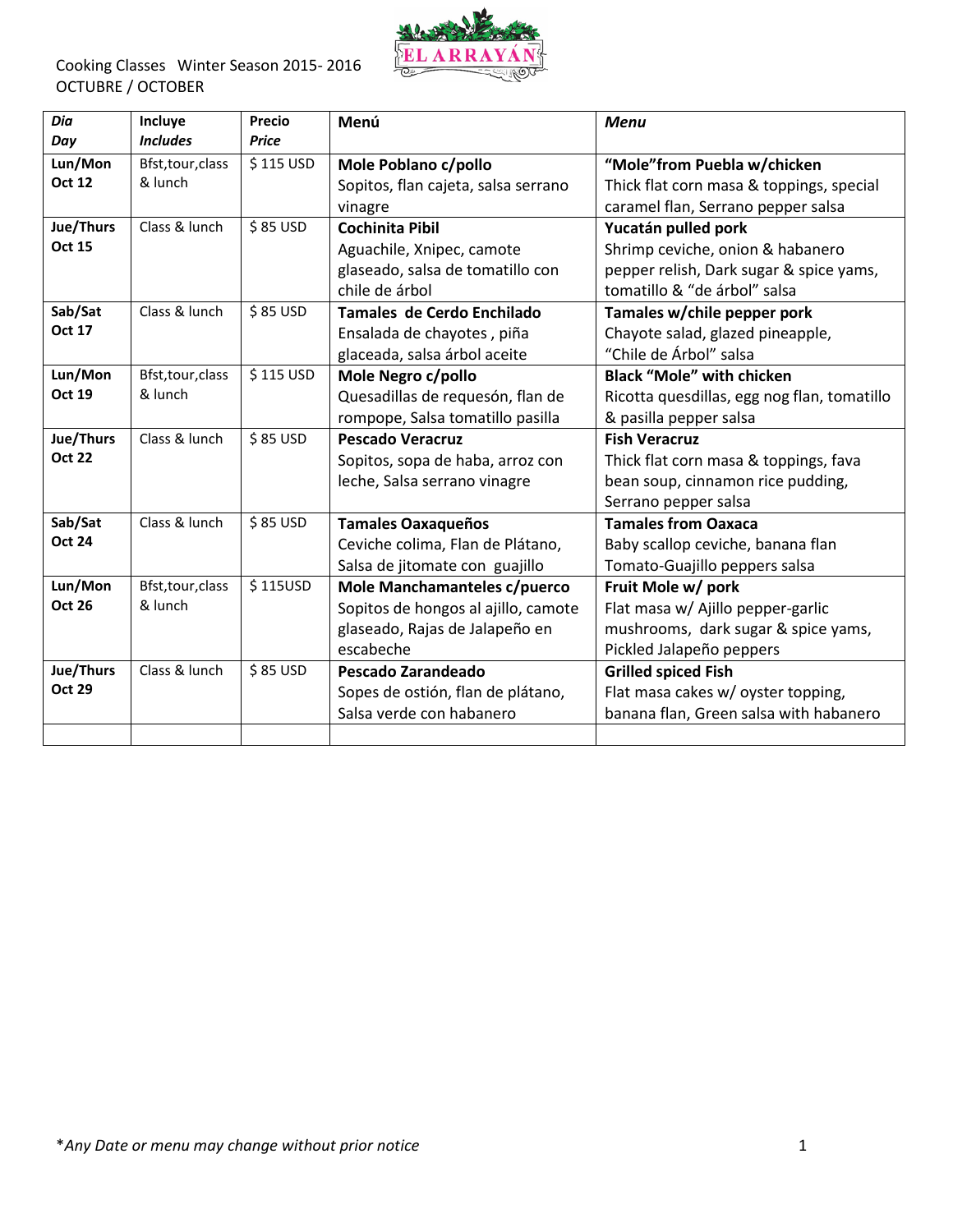

| Dia<br>Day    | Incluye<br><b>Includes</b> | Precio<br><b>Price</b> | Menú                                | <b>Menu</b>                                 |
|---------------|----------------------------|------------------------|-------------------------------------|---------------------------------------------|
| Lun/Mon       | Bfst, tour, class          | \$115 USD              | Mole Poblano c/pollo                | "Mole"from Puebla w/chicken                 |
| <b>Oct 12</b> | & lunch                    |                        | Sopitos, flan cajeta, salsa serrano | Thick flat corn masa & toppings, special    |
|               |                            |                        | vinagre                             | caramel flan, Serrano pepper salsa          |
| Jue/Thurs     | Class & lunch              | \$85 USD               | <b>Cochinita Pibil</b>              | Yucatán pulled pork                         |
| <b>Oct 15</b> |                            |                        | Aguachile, Xnipec, camote           | Shrimp ceviche, onion & habanero            |
|               |                            |                        | glaseado, salsa de tomatillo con    | pepper relish, Dark sugar & spice yams,     |
|               |                            |                        | chile de árbol                      | tomatillo & "de árbol" salsa                |
| Sab/Sat       | Class & lunch              | \$85 USD               | Tamales de Cerdo Enchilado          | Tamales w/chile pepper pork                 |
| <b>Oct 17</b> |                            |                        | Ensalada de chayotes, piña          | Chayote salad, glazed pineapple,            |
|               |                            |                        | glaceada, salsa árbol aceite        | "Chile de Árbol" salsa                      |
| Lun/Mon       | Bfst, tour, class          | \$115 USD              | Mole Negro c/pollo                  | <b>Black "Mole" with chicken</b>            |
| <b>Oct 19</b> | & lunch                    |                        | Quesadillas de requesón, flan de    | Ricotta quesdillas, egg nog flan, tomatillo |
|               |                            |                        | rompope, Salsa tomatillo pasilla    | & pasilla pepper salsa                      |
| Jue/Thurs     | Class & lunch              | \$85 USD               | <b>Pescado Veracruz</b>             | <b>Fish Veracruz</b>                        |
| <b>Oct 22</b> |                            |                        | Sopitos, sopa de haba, arroz con    | Thick flat corn masa & toppings, fava       |
|               |                            |                        | leche, Salsa serrano vinagre        | bean soup, cinnamon rice pudding,           |
|               |                            |                        |                                     | Serrano pepper salsa                        |
| Sab/Sat       | Class & lunch              | \$85 USD               | <b>Tamales Oaxaqueños</b>           | <b>Tamales from Oaxaca</b>                  |
| <b>Oct 24</b> |                            |                        | Ceviche colima, Flan de Plátano,    | Baby scallop ceviche, banana flan           |
|               |                            |                        | Salsa de jitomate con guajillo      | Tomato-Guajillo peppers salsa               |
| Lun/Mon       | Bfst, tour, class          | \$115USD               | Mole Manchamanteles c/puerco        | Fruit Mole w/ pork                          |
| <b>Oct 26</b> | & lunch                    |                        | Sopitos de hongos al ajillo, camote | Flat masa w/ Ajillo pepper-garlic           |
|               |                            |                        | glaseado, Rajas de Jalapeño en      | mushrooms, dark sugar & spice yams,         |
|               |                            |                        | escabeche                           | Pickled Jalapeño peppers                    |
| Jue/Thurs     | Class & lunch              | \$85 USD               | Pescado Zarandeado                  | <b>Grilled spiced Fish</b>                  |
| <b>Oct 29</b> |                            |                        | Sopes de ostión, flan de plátano,   | Flat masa cakes w/ oyster topping,          |
|               |                            |                        | Salsa verde con habanero            | banana flan, Green salsa with habanero      |
|               |                            |                        |                                     |                                             |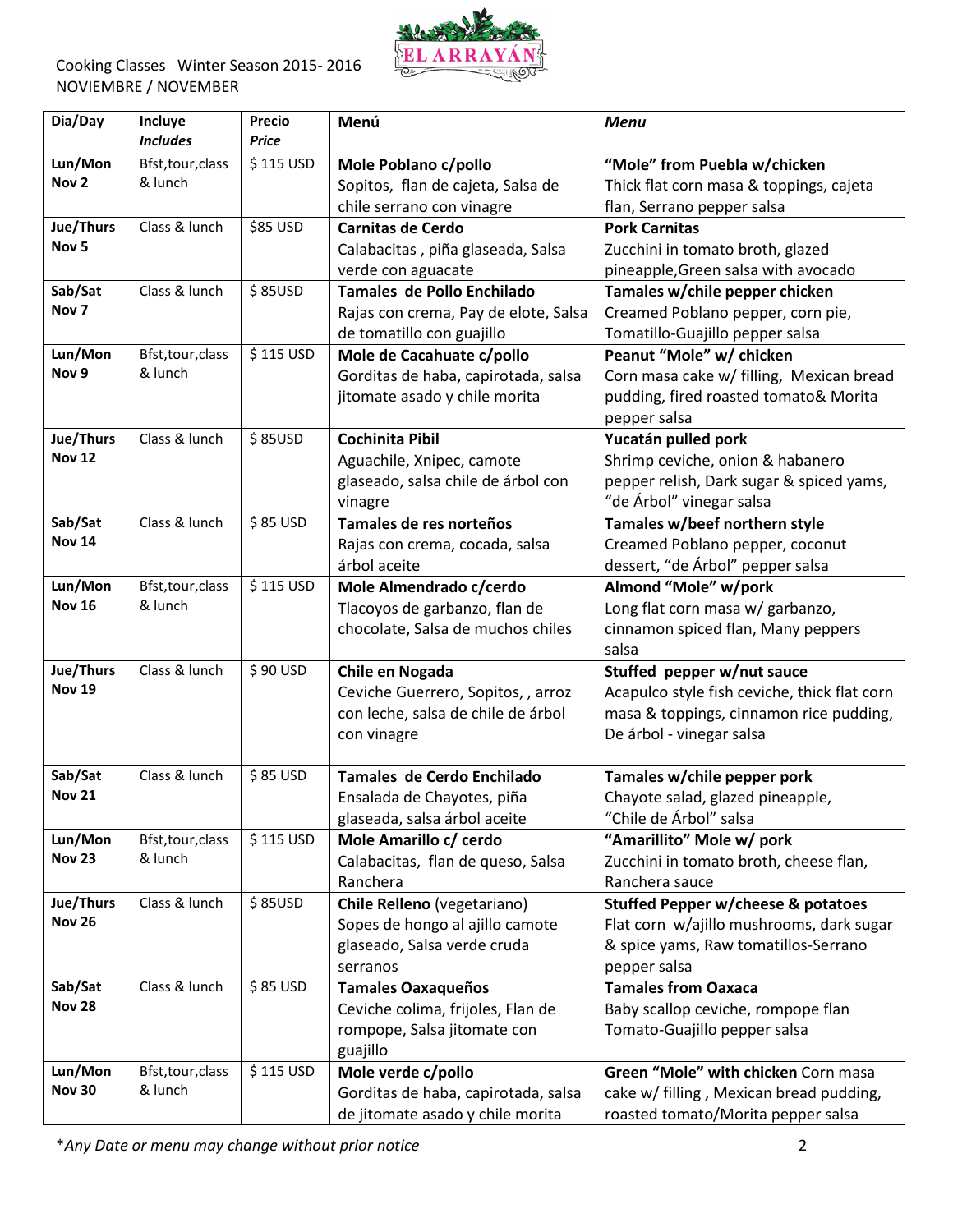

| Dia/Day          | Incluye           | Precio       | Menú                                 | <b>Menu</b>                                   |
|------------------|-------------------|--------------|--------------------------------------|-----------------------------------------------|
|                  | <b>Includes</b>   | <b>Price</b> |                                      |                                               |
| Lun/Mon          | Bfst, tour, class | \$115 USD    | Mole Poblano c/pollo                 | "Mole" from Puebla w/chicken                  |
| Nov <sub>2</sub> | & lunch           |              | Sopitos, flan de cajeta, Salsa de    | Thick flat corn masa & toppings, cajeta       |
|                  |                   |              | chile serrano con vinagre            | flan, Serrano pepper salsa                    |
| Jue/Thurs        | Class & lunch     | \$85 USD     | <b>Carnitas de Cerdo</b>             | <b>Pork Carnitas</b>                          |
| Nov <sub>5</sub> |                   |              | Calabacitas, piña glaseada, Salsa    | Zucchini in tomato broth, glazed              |
|                  |                   |              | verde con aguacate                   | pineapple, Green salsa with avocado           |
| Sab/Sat          | Class & lunch     | \$85USD      | Tamales de Pollo Enchilado           | Tamales w/chile pepper chicken                |
| Nov <sub>7</sub> |                   |              | Rajas con crema, Pay de elote, Salsa | Creamed Poblano pepper, corn pie,             |
|                  |                   |              | de tomatillo con guajillo            | Tomatillo-Guajillo pepper salsa               |
| Lun/Mon          | Bfst, tour, class | \$115 USD    | Mole de Cacahuate c/pollo            | Peanut "Mole" w/ chicken                      |
| Nov <sub>9</sub> | & lunch           |              | Gorditas de haba, capirotada, salsa  | Corn masa cake w/ filling, Mexican bread      |
|                  |                   |              | jitomate asado y chile morita        | pudding, fired roasted tomato& Morita         |
|                  |                   |              |                                      | pepper salsa                                  |
| Jue/Thurs        | Class & lunch     | \$85USD      | <b>Cochinita Pibil</b>               | Yucatán pulled pork                           |
| <b>Nov 12</b>    |                   |              | Aguachile, Xnipec, camote            | Shrimp ceviche, onion & habanero              |
|                  |                   |              | glaseado, salsa chile de árbol con   | pepper relish, Dark sugar & spiced yams,      |
|                  |                   |              | vinagre                              | "de Árbol" vinegar salsa                      |
| Sab/Sat          | Class & lunch     | \$85 USD     | Tamales de res norteños              | Tamales w/beef northern style                 |
| <b>Nov 14</b>    |                   |              | Rajas con crema, cocada, salsa       | Creamed Poblano pepper, coconut               |
|                  |                   |              | árbol aceite                         | dessert, "de Árbol" pepper salsa              |
| Lun/Mon          | Bfst, tour, class | \$115 USD    | Mole Almendrado c/cerdo              | Almond "Mole" w/pork                          |
| <b>Nov 16</b>    | & lunch           |              | Tlacoyos de garbanzo, flan de        | Long flat corn masa w/ garbanzo,              |
|                  |                   |              | chocolate, Salsa de muchos chiles    | cinnamon spiced flan, Many peppers            |
|                  |                   |              |                                      | salsa                                         |
| Jue/Thurs        | Class & lunch     | \$90 USD     | Chile en Nogada                      | Stuffed pepper w/nut sauce                    |
| <b>Nov 19</b>    |                   |              | Ceviche Guerrero, Sopitos, , arroz   | Acapulco style fish ceviche, thick flat corn  |
|                  |                   |              | con leche, salsa de chile de árbol   | masa & toppings, cinnamon rice pudding,       |
|                  |                   |              | con vinagre                          | De árbol - vinegar salsa                      |
|                  |                   |              |                                      |                                               |
| Sab/Sat          | Class & lunch     | \$85 USD     | Tamales de Cerdo Enchilado           | Tamales w/chile pepper pork                   |
| <b>Nov 21</b>    |                   |              | Ensalada de Chayotes, piña           | Chayote salad, glazed pineapple,              |
|                  |                   |              | glaseada, salsa árbol aceite         | "Chile de Árbol" salsa                        |
| Lun/Mon          | Bfst, tour, class | \$115 USD    | Mole Amarillo c/ cerdo               | "Amarillito" Mole w/ pork                     |
| <b>Nov 23</b>    | & lunch           |              | Calabacitas, flan de queso, Salsa    | Zucchini in tomato broth, cheese flan,        |
|                  |                   |              | Ranchera                             | Ranchera sauce                                |
| Jue/Thurs        | Class & lunch     | \$85USD      | Chile Relleno (vegetariano)          | <b>Stuffed Pepper w/cheese &amp; potatoes</b> |
| <b>Nov 26</b>    |                   |              | Sopes de hongo al ajillo camote      | Flat corn w/ajillo mushrooms, dark sugar      |
|                  |                   |              | glaseado, Salsa verde cruda          | & spice yams, Raw tomatillos-Serrano          |
|                  |                   |              | serranos                             | pepper salsa                                  |
| Sab/Sat          | Class & lunch     | $$85$ USD    | <b>Tamales Oaxaqueños</b>            | <b>Tamales from Oaxaca</b>                    |
| <b>Nov 28</b>    |                   |              | Ceviche colima, frijoles, Flan de    | Baby scallop ceviche, rompope flan            |
|                  |                   |              | rompope, Salsa jitomate con          | Tomato-Guajillo pepper salsa                  |
|                  |                   |              | guajillo                             |                                               |
| Lun/Mon          | Bfst, tour, class | \$115 USD    | Mole verde c/pollo                   | Green "Mole" with chicken Corn masa           |
| <b>Nov 30</b>    | & lunch           |              | Gorditas de haba, capirotada, salsa  | cake w/ filling, Mexican bread pudding,       |
|                  |                   |              | de jitomate asado y chile morita     | roasted tomato/Morita pepper salsa            |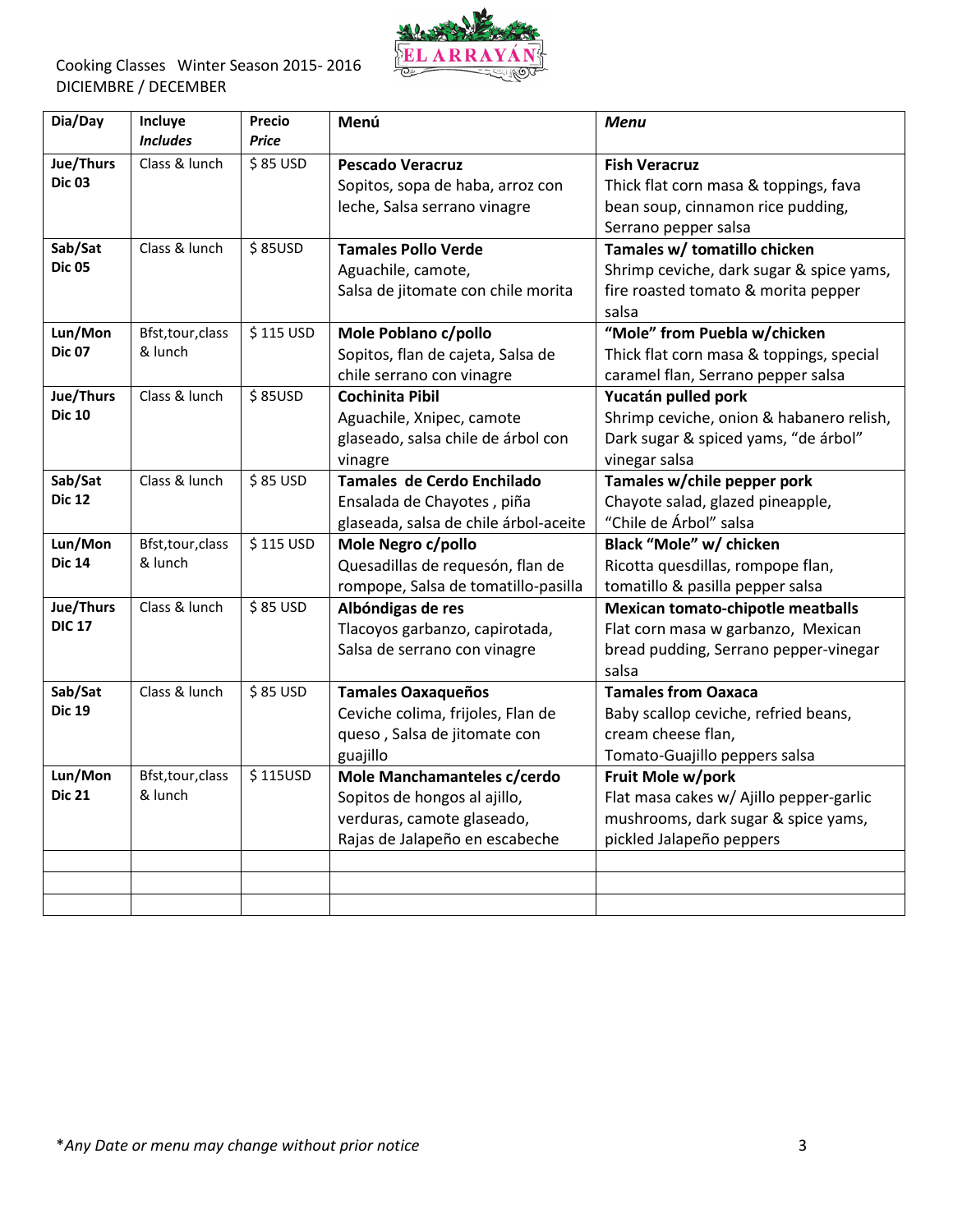

| Dia/Day                    | Incluye<br><b>Includes</b> | <b>Precio</b><br><b>Price</b> | Menú                                                        | <b>Menu</b>                                                   |
|----------------------------|----------------------------|-------------------------------|-------------------------------------------------------------|---------------------------------------------------------------|
| Jue/Thurs<br><b>Dic 03</b> | Class & lunch              | \$85 USD                      | <b>Pescado Veracruz</b><br>Sopitos, sopa de haba, arroz con | <b>Fish Veracruz</b><br>Thick flat corn masa & toppings, fava |
|                            |                            |                               | leche, Salsa serrano vinagre                                | bean soup, cinnamon rice pudding,                             |
|                            |                            |                               |                                                             | Serrano pepper salsa                                          |
| Sab/Sat                    | Class & lunch              | \$85USD                       | <b>Tamales Pollo Verde</b>                                  | Tamales w/ tomatillo chicken                                  |
| <b>Dic 05</b>              |                            |                               | Aguachile, camote,                                          | Shrimp ceviche, dark sugar & spice yams,                      |
|                            |                            |                               | Salsa de jitomate con chile morita                          | fire roasted tomato & morita pepper                           |
|                            |                            |                               |                                                             | salsa                                                         |
| Lun/Mon                    | Bfst, tour, class          | $\overline{\$}$ 115 USD       | Mole Poblano c/pollo                                        | "Mole" from Puebla w/chicken                                  |
| <b>Dic 07</b>              | & lunch                    |                               | Sopitos, flan de cajeta, Salsa de                           | Thick flat corn masa & toppings, special                      |
|                            |                            |                               | chile serrano con vinagre                                   | caramel flan, Serrano pepper salsa                            |
| Jue/Thurs                  | Class & lunch              | \$85USD                       | <b>Cochinita Pibil</b>                                      | Yucatán pulled pork                                           |
| <b>Dic 10</b>              |                            |                               | Aguachile, Xnipec, camote                                   | Shrimp ceviche, onion & habanero relish,                      |
|                            |                            |                               | glaseado, salsa chile de árbol con                          | Dark sugar & spiced yams, "de árbol"                          |
|                            |                            |                               | vinagre                                                     | vinegar salsa                                                 |
| Sab/Sat                    | Class & lunch              | \$85 USD                      | Tamales de Cerdo Enchilado                                  | Tamales w/chile pepper pork                                   |
| <b>Dic 12</b>              |                            |                               | Ensalada de Chayotes, piña                                  | Chayote salad, glazed pineapple,                              |
|                            |                            |                               | glaseada, salsa de chile árbol-aceite                       | "Chile de Árbol" salsa                                        |
| Lun/Mon                    | Bfst, tour, class          | \$115 USD                     | Mole Negro c/pollo                                          | Black "Mole" w/ chicken                                       |
| <b>Dic 14</b>              | & lunch                    |                               | Quesadillas de requesón, flan de                            | Ricotta quesdillas, rompope flan,                             |
|                            |                            |                               | rompope, Salsa de tomatillo-pasilla                         | tomatillo & pasilla pepper salsa                              |
| Jue/Thurs                  | Class & lunch              | \$85 USD                      | Albóndigas de res                                           | <b>Mexican tomato-chipotle meatballs</b>                      |
| <b>DIC 17</b>              |                            |                               | Tlacoyos garbanzo, capirotada,                              | Flat corn masa w garbanzo, Mexican                            |
|                            |                            |                               | Salsa de serrano con vinagre                                | bread pudding, Serrano pepper-vinegar                         |
|                            |                            |                               |                                                             | salsa                                                         |
| Sab/Sat                    | Class & lunch              | \$85 USD                      | <b>Tamales Oaxaqueños</b>                                   | <b>Tamales from Oaxaca</b>                                    |
| <b>Dic 19</b>              |                            |                               | Ceviche colima, frijoles, Flan de                           | Baby scallop ceviche, refried beans,                          |
|                            |                            |                               | queso, Salsa de jitomate con                                | cream cheese flan,                                            |
|                            |                            |                               | guajillo                                                    | Tomato-Guajillo peppers salsa                                 |
| Lun/Mon                    | Bfst, tour, class          | \$115USD                      | Mole Manchamanteles c/cerdo                                 | Fruit Mole w/pork                                             |
| <b>Dic 21</b>              | & lunch                    |                               | Sopitos de hongos al ajillo,                                | Flat masa cakes w/ Ajillo pepper-garlic                       |
|                            |                            |                               | verduras, camote glaseado,                                  | mushrooms, dark sugar & spice yams,                           |
|                            |                            |                               | Rajas de Jalapeño en escabeche                              | pickled Jalapeño peppers                                      |
|                            |                            |                               |                                                             |                                                               |
|                            |                            |                               |                                                             |                                                               |
|                            |                            |                               |                                                             |                                                               |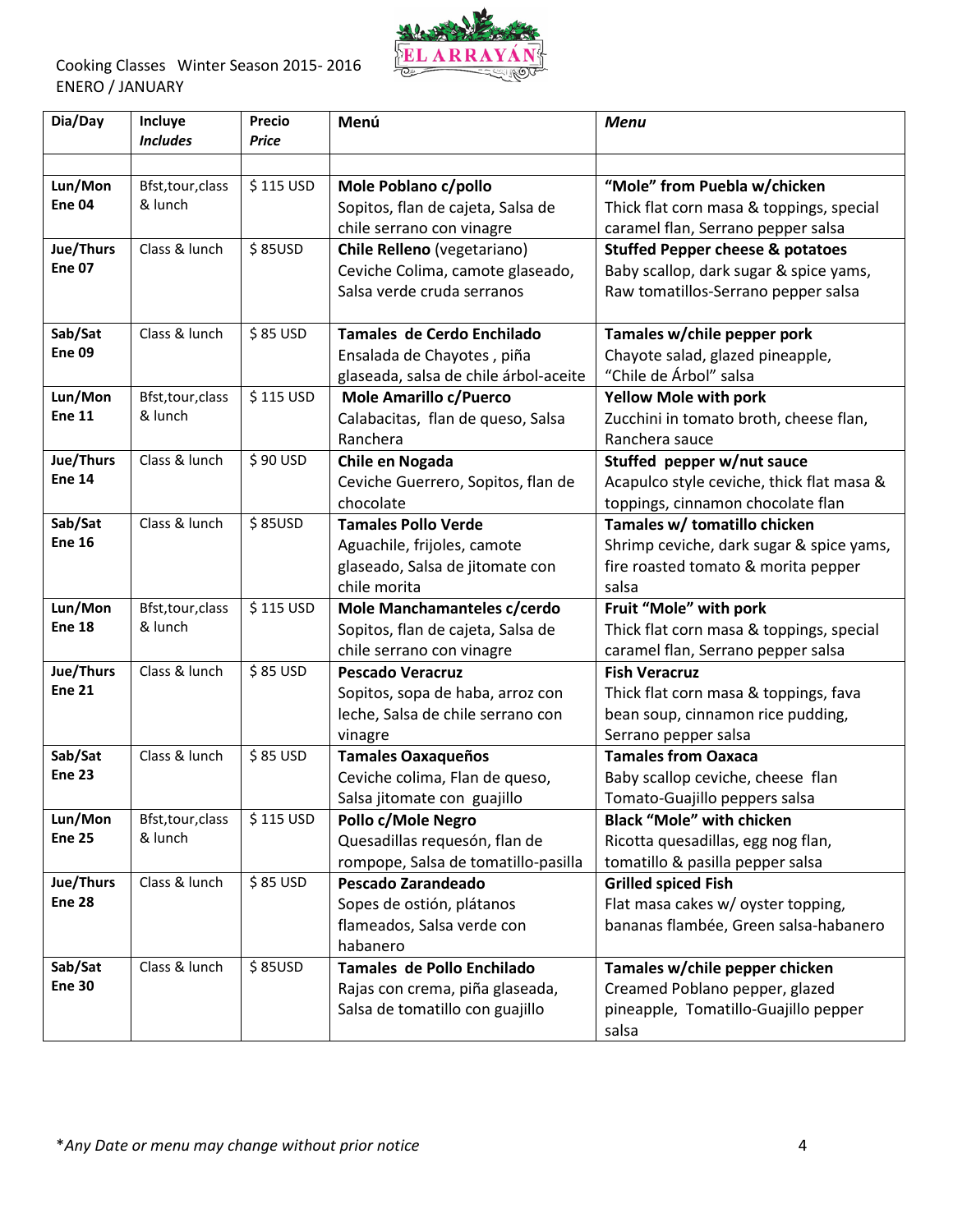

| Dia/Day       | Incluye<br><b>Includes</b> | <b>Precio</b><br><b>Price</b> | Menú                                  | <b>Menu</b>                                 |
|---------------|----------------------------|-------------------------------|---------------------------------------|---------------------------------------------|
|               |                            |                               |                                       |                                             |
| Lun/Mon       | Bfst, tour, class          | \$115 USD                     | Mole Poblano c/pollo                  | "Mole" from Puebla w/chicken                |
| <b>Ene 04</b> | & lunch                    |                               | Sopitos, flan de cajeta, Salsa de     | Thick flat corn masa & toppings, special    |
|               |                            |                               | chile serrano con vinagre             | caramel flan, Serrano pepper salsa          |
| Jue/Thurs     | Class & lunch              | \$85USD                       | Chile Relleno (vegetariano)           | <b>Stuffed Pepper cheese &amp; potatoes</b> |
| <b>Ene 07</b> |                            |                               | Ceviche Colima, camote glaseado,      | Baby scallop, dark sugar & spice yams,      |
|               |                            |                               | Salsa verde cruda serranos            | Raw tomatillos-Serrano pepper salsa         |
|               |                            |                               |                                       |                                             |
| Sab/Sat       | Class & lunch              | \$85 USD                      | Tamales de Cerdo Enchilado            | Tamales w/chile pepper pork                 |
| <b>Ene 09</b> |                            |                               | Ensalada de Chayotes, piña            | Chayote salad, glazed pineapple,            |
|               |                            |                               | glaseada, salsa de chile árbol-aceite | "Chile de Árbol" salsa                      |
| Lun/Mon       | Bfst, tour, class          | \$115 USD                     | Mole Amarillo c/Puerco                | <b>Yellow Mole with pork</b>                |
| <b>Ene 11</b> | & lunch                    |                               | Calabacitas, flan de queso, Salsa     | Zucchini in tomato broth, cheese flan,      |
|               |                            |                               | Ranchera                              | Ranchera sauce                              |
| Jue/Thurs     | Class & lunch              | \$90 USD                      | Chile en Nogada                       | Stuffed pepper w/nut sauce                  |
| <b>Ene 14</b> |                            |                               | Ceviche Guerrero, Sopitos, flan de    | Acapulco style ceviche, thick flat masa &   |
|               |                            |                               | chocolate                             | toppings, cinnamon chocolate flan           |
| Sab/Sat       | Class & lunch              | \$85USD                       | <b>Tamales Pollo Verde</b>            | Tamales w/ tomatillo chicken                |
| <b>Ene 16</b> |                            |                               | Aguachile, frijoles, camote           | Shrimp ceviche, dark sugar & spice yams,    |
|               |                            |                               | glaseado, Salsa de jitomate con       | fire roasted tomato & morita pepper         |
|               |                            |                               | chile morita                          | salsa                                       |
| Lun/Mon       | Bfst, tour, class          | \$115 USD                     | Mole Manchamanteles c/cerdo           | Fruit "Mole" with pork                      |
| <b>Ene 18</b> | & lunch                    |                               | Sopitos, flan de cajeta, Salsa de     | Thick flat corn masa & toppings, special    |
|               |                            |                               | chile serrano con vinagre             | caramel flan, Serrano pepper salsa          |
| Jue/Thurs     | Class & lunch              | \$85 USD                      | <b>Pescado Veracruz</b>               | <b>Fish Veracruz</b>                        |
| <b>Ene 21</b> |                            |                               | Sopitos, sopa de haba, arroz con      | Thick flat corn masa & toppings, fava       |
|               |                            |                               | leche, Salsa de chile serrano con     | bean soup, cinnamon rice pudding,           |
|               |                            |                               | vinagre                               | Serrano pepper salsa                        |
| Sab/Sat       | Class & lunch              | \$85 USD                      | <b>Tamales Oaxaqueños</b>             | <b>Tamales from Oaxaca</b>                  |
| <b>Ene 23</b> |                            |                               | Ceviche colima, Flan de queso,        | Baby scallop ceviche, cheese flan           |
|               |                            |                               | Salsa jitomate con guajillo           | Tomato-Guajillo peppers salsa               |
| Lun/Mon       | Bfst, tour, class          | \$115 USD                     | Pollo c/Mole Negro                    | <b>Black "Mole" with chicken</b>            |
| <b>Ene 25</b> | & lunch                    |                               | Quesadillas requesón, flan de         | Ricotta quesadillas, egg nog flan,          |
|               |                            |                               | rompope, Salsa de tomatillo-pasilla   | tomatillo & pasilla pepper salsa            |
| Jue/Thurs     | Class & lunch              | \$85 USD                      | Pescado Zarandeado                    | <b>Grilled spiced Fish</b>                  |
| <b>Ene 28</b> |                            |                               | Sopes de ostión, plátanos             | Flat masa cakes w/ oyster topping,          |
|               |                            |                               | flameados, Salsa verde con            | bananas flambée, Green salsa-habanero       |
|               |                            |                               | habanero                              |                                             |
| Sab/Sat       | Class & lunch              | \$85USD                       | Tamales de Pollo Enchilado            | Tamales w/chile pepper chicken              |
| <b>Ene 30</b> |                            |                               | Rajas con crema, piña glaseada,       | Creamed Poblano pepper, glazed              |
|               |                            |                               | Salsa de tomatillo con guajillo       | pineapple, Tomatillo-Guajillo pepper        |
|               |                            |                               |                                       | salsa                                       |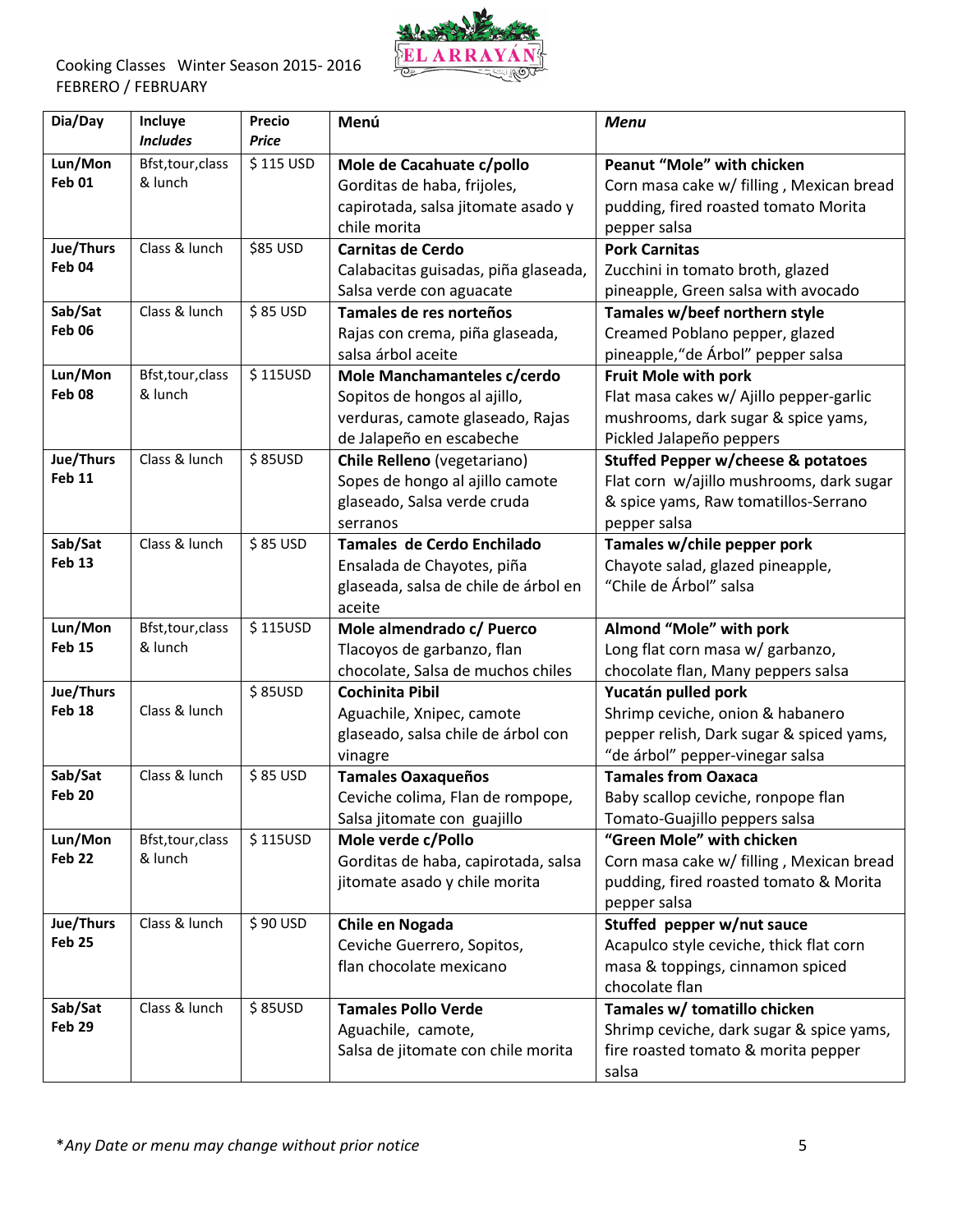

| Dia/Day           | Incluye<br><b>Includes</b>   | <b>Precio</b><br><b>Price</b> | Menú                                                  | <b>Menu</b>                                                             |
|-------------------|------------------------------|-------------------------------|-------------------------------------------------------|-------------------------------------------------------------------------|
|                   |                              |                               |                                                       |                                                                         |
| Lun/Mon<br>Feb 01 | Bfst, tour, class<br>& lunch | \$115 USD                     | Mole de Cacahuate c/pollo                             | <b>Peanut "Mole" with chicken</b>                                       |
|                   |                              |                               | Gorditas de haba, frijoles,                           | Corn masa cake w/ filling, Mexican bread                                |
|                   |                              |                               | capirotada, salsa jitomate asado y                    | pudding, fired roasted tomato Morita                                    |
| Jue/Thurs         | Class & lunch                | \$85 USD                      | chile morita                                          | pepper salsa                                                            |
| Feb 04            |                              |                               | <b>Carnitas de Cerdo</b>                              | <b>Pork Carnitas</b>                                                    |
|                   |                              |                               | Calabacitas guisadas, piña glaseada,                  | Zucchini in tomato broth, glazed<br>pineapple, Green salsa with avocado |
| Sab/Sat           | Class & lunch                | \$85 USD                      | Salsa verde con aguacate<br>Tamales de res norteños   | Tamales w/beef northern style                                           |
| Feb 06            |                              |                               |                                                       | Creamed Poblano pepper, glazed                                          |
|                   |                              |                               | Rajas con crema, piña glaseada,<br>salsa árbol aceite | pineapple, "de Árbol" pepper salsa                                      |
| Lun/Mon           | Bfst, tour, class            | \$115USD                      | Mole Manchamanteles c/cerdo                           | <b>Fruit Mole with pork</b>                                             |
| Feb <sub>08</sub> | & lunch                      |                               | Sopitos de hongos al ajillo,                          | Flat masa cakes w/ Ajillo pepper-garlic                                 |
|                   |                              |                               | verduras, camote glaseado, Rajas                      | mushrooms, dark sugar & spice yams,                                     |
|                   |                              |                               | de Jalapeño en escabeche                              | Pickled Jalapeño peppers                                                |
| Jue/Thurs         | Class & lunch                | \$85USD                       | Chile Relleno (vegetariano)                           | <b>Stuffed Pepper w/cheese &amp; potatoes</b>                           |
| <b>Feb 11</b>     |                              |                               | Sopes de hongo al ajillo camote                       | Flat corn w/ajillo mushrooms, dark sugar                                |
|                   |                              |                               | glaseado, Salsa verde cruda                           | & spice yams, Raw tomatillos-Serrano                                    |
|                   |                              |                               | serranos                                              | pepper salsa                                                            |
| Sab/Sat           | Class & lunch                | \$85 USD                      | Tamales de Cerdo Enchilado                            | Tamales w/chile pepper pork                                             |
| <b>Feb 13</b>     |                              |                               | Ensalada de Chayotes, piña                            | Chayote salad, glazed pineapple,                                        |
|                   |                              |                               | glaseada, salsa de chile de árbol en                  | "Chile de Árbol" salsa                                                  |
|                   |                              |                               | aceite                                                |                                                                         |
| Lun/Mon           | Bfst, tour, class            | \$115USD                      | Mole almendrado c/ Puerco                             | Almond "Mole" with pork                                                 |
| <b>Feb 15</b>     | & lunch                      |                               | Tlacoyos de garbanzo, flan                            | Long flat corn masa w/ garbanzo,                                        |
|                   |                              |                               | chocolate, Salsa de muchos chiles                     | chocolate flan, Many peppers salsa                                      |
| Jue/Thurs         |                              | \$85USD                       | <b>Cochinita Pibil</b>                                | Yucatán pulled pork                                                     |
| Feb 18            | Class & lunch                |                               | Aguachile, Xnipec, camote                             | Shrimp ceviche, onion & habanero                                        |
|                   |                              |                               | glaseado, salsa chile de árbol con                    | pepper relish, Dark sugar & spiced yams,                                |
|                   |                              |                               | vinagre                                               | "de árbol" pepper-vinegar salsa                                         |
| Sab/Sat           | Class & lunch                | \$85 USD                      | <b>Tamales Oaxaqueños</b>                             | <b>Tamales from Oaxaca</b>                                              |
| <b>Feb 20</b>     |                              |                               | Ceviche colima, Flan de rompope,                      | Baby scallop ceviche, ronpope flan                                      |
|                   |                              |                               | Salsa jitomate con guajillo                           | Tomato-Guajillo peppers salsa                                           |
| Lun/Mon           | Bfst, tour, class            | \$115USD                      | Mole verde c/Pollo                                    | "Green Mole" with chicken                                               |
| Feb 22            | & lunch                      |                               | Gorditas de haba, capirotada, salsa                   | Corn masa cake w/ filling, Mexican bread                                |
|                   |                              |                               | jitomate asado y chile morita                         | pudding, fired roasted tomato & Morita                                  |
|                   |                              |                               |                                                       | pepper salsa                                                            |
| Jue/Thurs         | Class & lunch                | \$90 USD                      | Chile en Nogada                                       | Stuffed pepper w/nut sauce                                              |
| Feb 25            |                              |                               | Ceviche Guerrero, Sopitos,                            | Acapulco style ceviche, thick flat corn                                 |
|                   |                              |                               | flan chocolate mexicano                               | masa & toppings, cinnamon spiced                                        |
|                   |                              |                               |                                                       | chocolate flan                                                          |
| Sab/Sat<br>Feb 29 | Class & lunch                | \$85USD                       | <b>Tamales Pollo Verde</b>                            | Tamales w/ tomatillo chicken                                            |
|                   |                              |                               | Aguachile, camote,                                    | Shrimp ceviche, dark sugar & spice yams,                                |
|                   |                              |                               | Salsa de jitomate con chile morita                    | fire roasted tomato & morita pepper                                     |
|                   |                              |                               |                                                       | salsa                                                                   |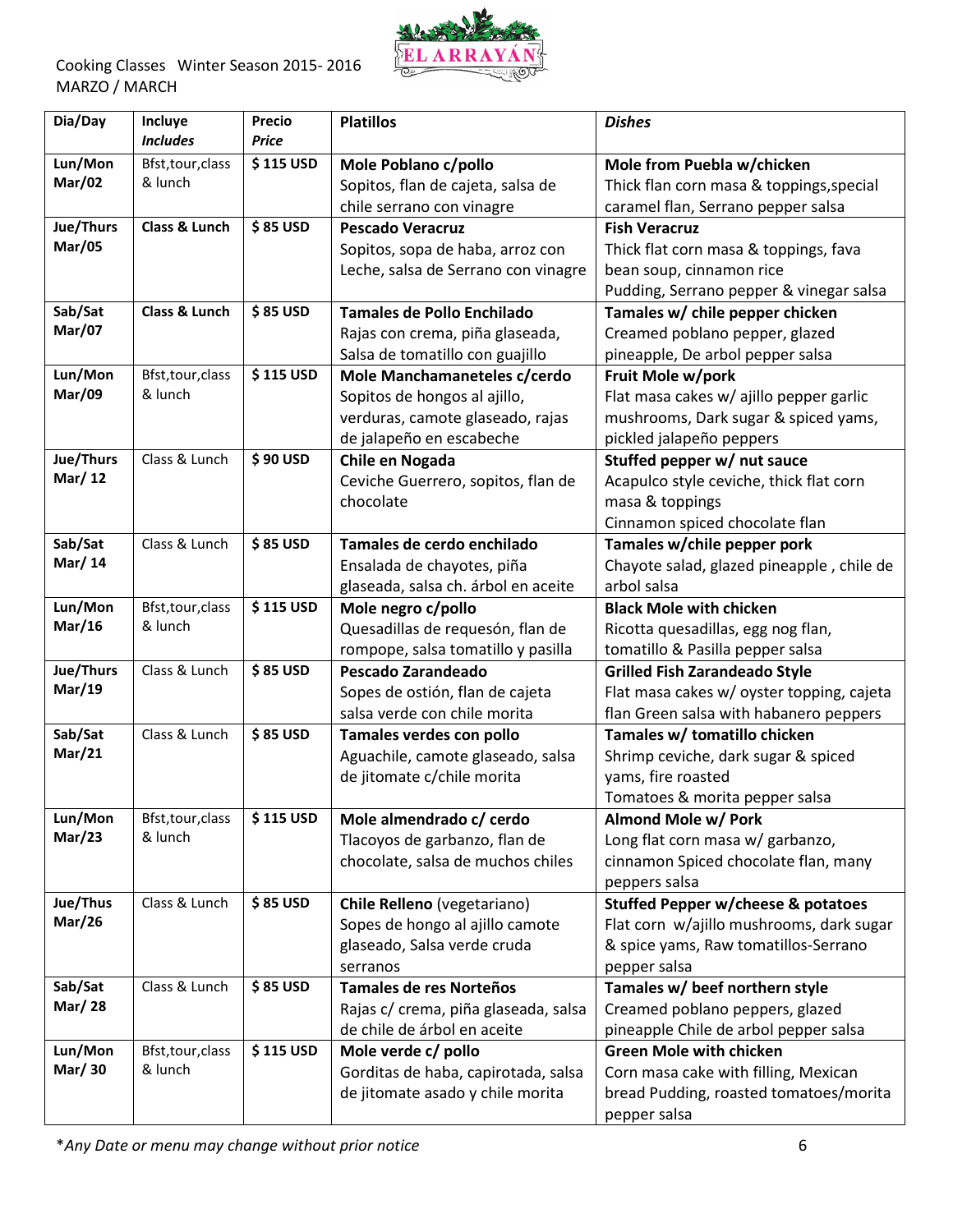

Cooking Classes Winter Season 2015- 2016 MARZO / MARCH

| Dia/Day           | Incluye<br><b>Includes</b>   | <b>Precio</b><br><b>Price</b> | <b>Platillos</b>                                         | <b>Dishes</b>                                                                     |
|-------------------|------------------------------|-------------------------------|----------------------------------------------------------|-----------------------------------------------------------------------------------|
| Lun/Mon           | Bfst, tour, class            | \$115 USD                     | Mole Poblano c/pollo                                     | Mole from Puebla w/chicken                                                        |
| <b>Mar/02</b>     | & lunch                      |                               | Sopitos, flan de cajeta, salsa de                        | Thick flan corn masa & toppings, special                                          |
|                   |                              |                               | chile serrano con vinagre                                | caramel flan, Serrano pepper salsa                                                |
| Jue/Thurs         | Class & Lunch                | \$85 USD                      | <b>Pescado Veracruz</b>                                  | <b>Fish Veracruz</b>                                                              |
| <b>Mar/05</b>     |                              |                               | Sopitos, sopa de haba, arroz con                         | Thick flat corn masa & toppings, fava                                             |
|                   |                              |                               | Leche, salsa de Serrano con vinagre                      | bean soup, cinnamon rice                                                          |
|                   |                              |                               |                                                          | Pudding, Serrano pepper & vinegar salsa                                           |
| Sab/Sat           | Class & Lunch                | \$85 USD                      | <b>Tamales de Pollo Enchilado</b>                        | Tamales w/ chile pepper chicken                                                   |
| <b>Mar/07</b>     |                              |                               | Rajas con crema, piña glaseada,                          | Creamed poblano pepper, glazed                                                    |
|                   |                              |                               | Salsa de tomatillo con guajillo                          | pineapple, De arbol pepper salsa                                                  |
| Lun/Mon           | Bfst, tour, class            | \$115 USD                     | Mole Manchamaneteles c/cerdo                             | Fruit Mole w/pork                                                                 |
| <b>Mar/09</b>     | & lunch                      |                               | Sopitos de hongos al ajillo,                             | Flat masa cakes w/ ajillo pepper garlic                                           |
|                   |                              |                               | verduras, camote glaseado, rajas                         | mushrooms, Dark sugar & spiced yams,                                              |
|                   |                              |                               | de jalapeño en escabeche                                 | pickled jalapeño peppers                                                          |
| Jue/Thurs         | Class & Lunch                | \$90 USD                      | Chile en Nogada                                          | Stuffed pepper w/ nut sauce                                                       |
| Mar/12            |                              |                               | Ceviche Guerrero, sopitos, flan de                       | Acapulco style ceviche, thick flat corn                                           |
|                   |                              |                               | chocolate                                                | masa & toppings                                                                   |
|                   |                              |                               |                                                          | Cinnamon spiced chocolate flan                                                    |
| Sab/Sat           | Class & Lunch                | \$85 USD                      | Tamales de cerdo enchilado                               | Tamales w/chile pepper pork                                                       |
| Mar/ 14           |                              |                               | Ensalada de chayotes, piña                               | Chayote salad, glazed pineapple, chile de                                         |
|                   |                              |                               | glaseada, salsa ch. árbol en aceite                      | arbol salsa                                                                       |
| Lun/Mon<br>Mar/16 | Bfst, tour, class<br>& lunch | \$115 USD                     | Mole negro c/pollo                                       | <b>Black Mole with chicken</b>                                                    |
|                   |                              |                               | Quesadillas de requesón, flan de                         | Ricotta quesadillas, egg nog flan,                                                |
| Jue/Thurs         | Class & Lunch                | \$85 USD                      | rompope, salsa tomatillo y pasilla<br>Pescado Zarandeado | tomatillo & Pasilla pepper salsa                                                  |
| <b>Mar/19</b>     |                              |                               | Sopes de ostión, flan de cajeta                          | <b>Grilled Fish Zarandeado Style</b><br>Flat masa cakes w/ oyster topping, cajeta |
|                   |                              |                               | salsa verde con chile morita                             | flan Green salsa with habanero peppers                                            |
| Sab/Sat           | Class & Lunch                | \$85 USD                      | Tamales verdes con pollo                                 | Tamales w/ tomatillo chicken                                                      |
| <b>Mar/21</b>     |                              |                               | Aguachile, camote glaseado, salsa                        | Shrimp ceviche, dark sugar & spiced                                               |
|                   |                              |                               | de jitomate c/chile morita                               | yams, fire roasted                                                                |
|                   |                              |                               |                                                          | Tomatoes & morita pepper salsa                                                    |
| Lun/Mon           | Bfst, tour, class            | \$115 USD                     | Mole almendrado c/ cerdo                                 | Almond Mole w/ Pork                                                               |
| Mar/23            | & lunch                      |                               | Tlacoyos de garbanzo, flan de                            | Long flat corn masa w/ garbanzo,                                                  |
|                   |                              |                               | chocolate, salsa de muchos chiles                        | cinnamon Spiced chocolate flan, many                                              |
|                   |                              |                               |                                                          | peppers salsa                                                                     |
| Jue/Thus          | Class & Lunch                | \$85 USD                      | Chile Relleno (vegetariano)                              | <b>Stuffed Pepper w/cheese &amp; potatoes</b>                                     |
| <b>Mar/26</b>     |                              |                               | Sopes de hongo al ajillo camote                          | Flat corn w/ajillo mushrooms, dark sugar                                          |
|                   |                              |                               | glaseado, Salsa verde cruda                              | & spice yams, Raw tomatillos-Serrano                                              |
|                   |                              |                               | serranos                                                 | pepper salsa                                                                      |
| Sab/Sat           | Class & Lunch                | \$85 USD                      | <b>Tamales de res Norteños</b>                           | Tamales w/ beef northern style                                                    |
| <b>Mar/28</b>     |                              |                               | Rajas c/ crema, piña glaseada, salsa                     | Creamed poblano peppers, glazed                                                   |
|                   |                              |                               | de chile de árbol en aceite                              | pineapple Chile de arbol pepper salsa                                             |
| Lun/Mon           | Bfst, tour, class            | \$115 USD                     | Mole verde c/ pollo                                      | <b>Green Mole with chicken</b>                                                    |
| Mar/ 30           | & lunch                      |                               | Gorditas de haba, capirotada, salsa                      | Corn masa cake with filling, Mexican                                              |
|                   |                              |                               | de jitomate asado y chile morita                         | bread Pudding, roasted tomatoes/morita                                            |
|                   |                              |                               |                                                          | pepper salsa                                                                      |